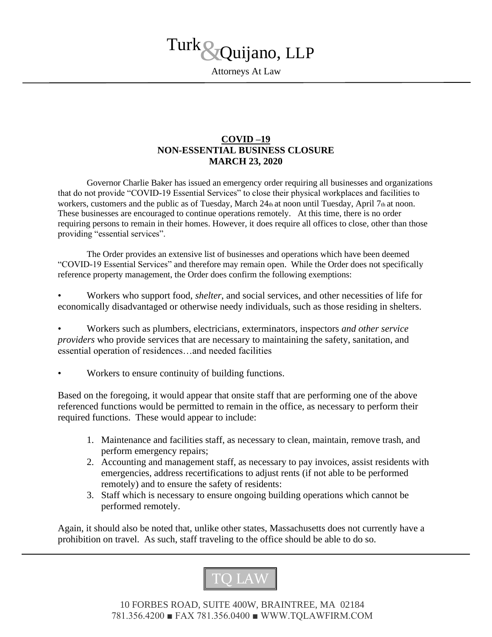

Attorneys At Law

## **COVID –19 NON-ESSENTIAL BUSINESS CLOSURE MARCH 23, 2020**

Governor Charlie Baker has issued an emergency order requiring all businesses and organizations that do not provide "COVID-19 Essential Services" to close their physical workplaces and facilities to workers, customers and the public as of Tuesday, March 24th at noon until Tuesday, April 7th at noon. These businesses are encouraged to continue operations remotely. At this time, there is no order requiring persons to remain in their homes. However, it does require all offices to close, other than those providing "essential services".

The Order provides an extensive list of businesses and operations which have been deemed "COVID-19 Essential Services" and therefore may remain open. While the Order does not specifically reference property management, the Order does confirm the following exemptions:

• Workers who support food, *shelter*, and social services, and other necessities of life for economically disadvantaged or otherwise needy individuals, such as those residing in shelters.

• Workers such as plumbers, electricians, exterminators, inspectors *and other service providers* who provide services that are necessary to maintaining the safety, sanitation, and essential operation of residences…and needed facilities

• Workers to ensure continuity of building functions.

Based on the foregoing, it would appear that onsite staff that are performing one of the above referenced functions would be permitted to remain in the office, as necessary to perform their required functions. These would appear to include:

- 1. Maintenance and facilities staff, as necessary to clean, maintain, remove trash, and perform emergency repairs;
- 2. Accounting and management staff, as necessary to pay invoices, assist residents with emergencies, address recertifications to adjust rents (if not able to be performed remotely) and to ensure the safety of residents:
- 3. Staff which is necessary to ensure ongoing building operations which cannot be performed remotely.

Again, it should also be noted that, unlike other states, Massachusetts does not currently have a prohibition on travel. As such, staff traveling to the office should be able to do so.



10 FORBES ROAD, SUITE 400W, BRAINTREE, MA 02184 781.356.4200 ■ FAX 781.356.0400 ■ WWW.TQLAWFIRM.COM